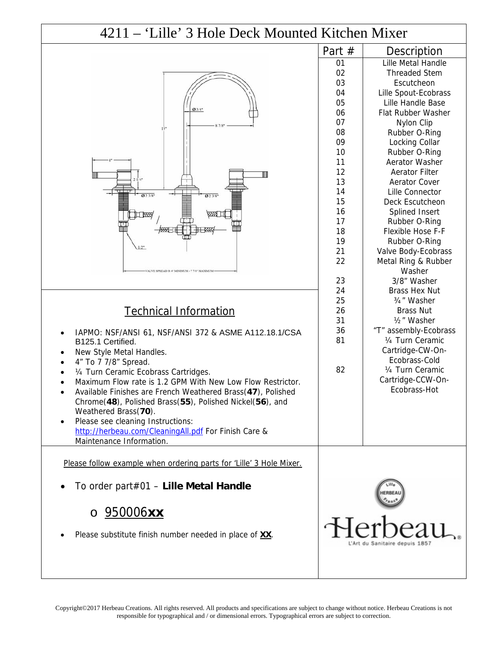## $4211 - 'Lille'$  3 Hole Deck Mounted K



## Technical Information

- IAPMO: NSF/ANSI 61, NSF/ANSI 372 & ASME A112.18.1/CSA B125.1 Certified.
- New Style Metal Handles.
- 4" To 7 7/8" Spread.
- ¼ Turn Ceramic Ecobrass Cartridges.
- Maximum Flow rate is 1.2 GPM With New Low Flow Restrictor. Available Finishes are French Weathered Brass(**47**), Polished
- Chrome(**48**), Polished Brass(**55**), Polished Nickel(**56**), and Weathered Brass(**70**). Please see cleaning Instructions:
- <http://herbeau.com/CleaningAll.pdf>For Finish Care & Maintenance Information.

Please follow example when ordering parts for 'Lille' 3 Hole Mixer.

To order part#01 – **Lille Metal Handle**

## o 950006**xx**

Please substitute finish number needed in place of **XX**.

| Kitchen Mixer |                          |
|---------------|--------------------------|
| Part #        | Description              |
| 01            | Lille Metal Handle       |
| 02            | <b>Threaded Stem</b>     |
| 03            | Escutcheon               |
| 04            | Lille Spout-Ecobrass     |
| 05            | Lille Handle Base        |
| 06            | Flat Rubber Washer       |
| 07            | Nylon Clip               |
| 08            | Rubber O-Ring            |
| 09            | Locking Collar           |
| 10            | Rubber O-Ring            |
| 11            | Aerator Washer           |
| 12            | <b>Aerator Filter</b>    |
| 13            | <b>Aerator Cover</b>     |
| 14            | Lille Connector          |
| 15            | Deck Escutcheon          |
| 16            | Splined Insert           |
| 17            | Rubber O-Ring            |
| 18            | <b>Flexible Hose F-F</b> |
| 19            | Rubber O-Ring            |
| 21            | Valve Body-Ecobrass      |
| 22            | Metal Ring & Rubber      |
|               | Washer                   |
| 23            | 3/8" Washer              |
| 24            | Brass Hex Nut            |
| 25            | 3/4" Washer              |
| 26            | <b>Brass Nut</b>         |
| 31            | 1/ <sub>2</sub> " Washer |
| 36            | "T" assembly-Ecobrass    |
| 81            | 1/4 Turn Ceramic         |
|               | Cartridge-CW-On-         |
|               | Ecobrass-Cold            |
| 82            | 1/4 Turn Ceramic         |
|               | Cartridge-CCW-On-        |
|               | Ecobrass-Hot             |
|               |                          |
|               |                          |
|               |                          |
|               |                          |
|               |                          |
|               |                          |
|               |                          |
|               |                          |
|               |                          |
|               |                          |

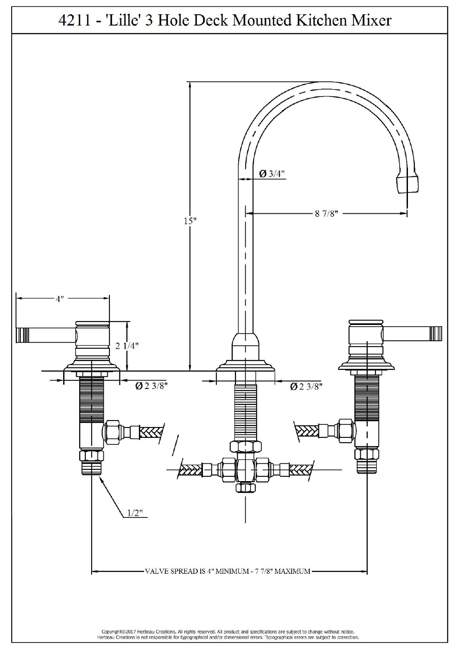

Copyright©2017 Herbeau Creations. All rights reserved. All product and specifications are subject to change without notice.<br>Herbeau Creations is not responsible for typographical and/or dimensional errors. Typographical er